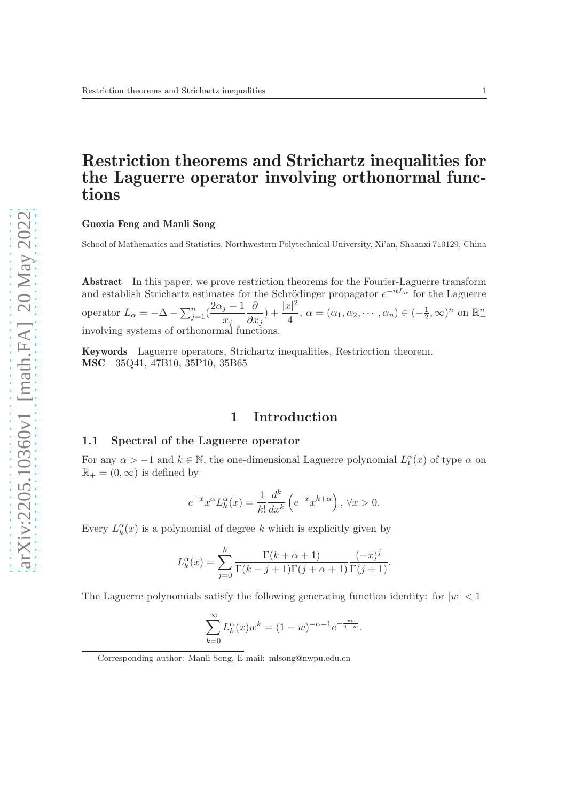## Restriction theorems and Strichartz inequalities for the Laguerre operator involving orthonormal functions

#### Guoxia Feng and Manli Song

School of Mathematics and Statistics, Northwestern Polytechnical University, Xi'an, Shaanxi 710129, China

Abstract In this paper, we prove restriction theorems for the Fourier-Laguerre transform and establish Strichartz estimates for the Schrödinger propagator  $e^{-itL_{\alpha}}$  for the Laguerre operator  $L_{\alpha} = -\Delta - \sum_{j=1}^{n} (\frac{2\alpha_j + 1}{r_j})$  $x_j$ ∂  $\partial x_j$  $)+\frac{|x|^2}{4}$  $\frac{\alpha_1}{4}$ ,  $\alpha = (\alpha_1, \alpha_2, \cdots, \alpha_n) \in (-\frac{1}{2})$  $(\frac{1}{2}, \infty)^n$  on  $\mathbb{R}^n_+$ involving systems of orthonormal functions.

Keywords Laguerre operators, Strichartz inequalities, Restricction theorem. MSC 35Q41, 47B10, 35P10, 35B65

### 1 Introduction

#### 1.1 Spectral of the Laguerre operator

For any  $\alpha > -1$  and  $k \in \mathbb{N}$ , the one-dimensional Laguerre polynomial  $L_k^{\alpha}(x)$  of type  $\alpha$  on  $\mathbb{R}_+ = (0, \infty)$  is defined by

$$
e^{-x}x^{\alpha}L_k^{\alpha}(x) = \frac{1}{k!} \frac{d^k}{dx^k} \left( e^{-x}x^{k+\alpha} \right), \forall x > 0.
$$

Every  $L_k^{\alpha}(x)$  is a polynomial of degree k which is explicitly given by

$$
L_k^{\alpha}(x) = \sum_{j=0}^k \frac{\Gamma(k+\alpha+1)}{\Gamma(k-j+1)\Gamma(j+\alpha+1)} \frac{(-x)^j}{\Gamma(j+1)}.
$$

The Laguerre polynomials satisfy the following generating function identity: for  $|w| < 1$ 

$$
\sum_{k=0}^{\infty} L_k^{\alpha}(x) w^k = (1 - w)^{-\alpha - 1} e^{-\frac{xw}{1 - w}}.
$$

Corresponding author: Manli Song, E-mail: mlsong@nwpu.edu.cn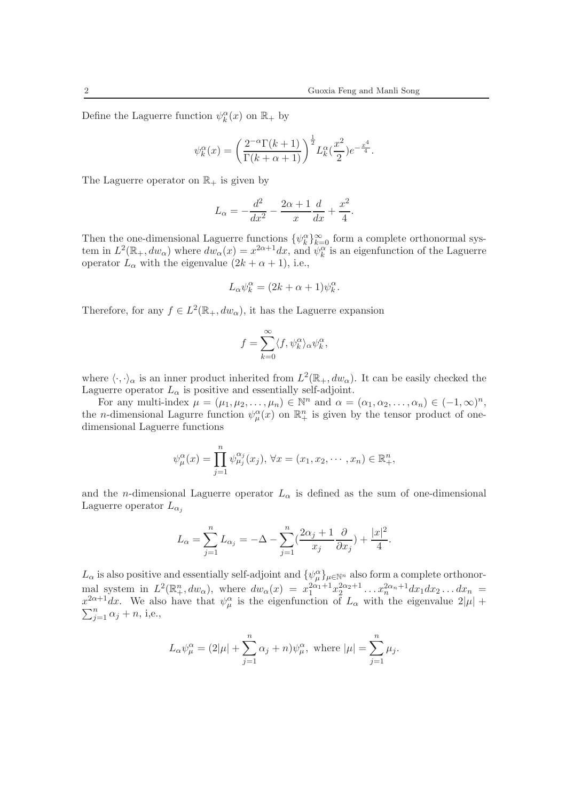Define the Laguerre function  $\psi_k^{\alpha}(x)$  on  $\mathbb{R}_+$  by

$$
\psi_k^{\alpha}(x) = \left(\frac{2^{-\alpha}\Gamma(k+1)}{\Gamma(k+\alpha+1)}\right)^{\frac{1}{2}} L_k^{\alpha}(\frac{x^2}{2})e^{-\frac{x^4}{4}}.
$$

The Laguerre operator on  $\mathbb{R}_+$  is given by

$$
L_{\alpha} = -\frac{d^2}{dx^2} - \frac{2\alpha + 1}{x} \frac{d}{dx} + \frac{x^2}{4}.
$$

Then the one-dimensional Laguerre functions  $\{\psi_k^{\alpha}\}_{k=0}^{\infty}$  form a complete orthonormal system in  $L^2(\mathbb{R}_+,dw_\alpha)$  where  $dw_\alpha(x) = x^{2\alpha+1}dx$ , and  $\psi_k^\alpha$  is an eigenfunction of the Laguerre operator  $L_{\alpha}$  with the eigenvalue  $(2k + \alpha + 1)$ , i.e.,

$$
L_{\alpha}\psi_k^{\alpha} = (2k + \alpha + 1)\psi_k^{\alpha}.
$$

Therefore, for any  $f \in L^2(\mathbb{R}_+, dw_\alpha)$ , it has the Laguerre expansion

$$
f = \sum_{k=0}^{\infty} \langle f, \psi_k^{\alpha} \rangle_{\alpha} \psi_k^{\alpha},
$$

where  $\langle \cdot, \cdot \rangle_{\alpha}$  is an inner product inherited from  $L^2(\mathbb{R}_+, dw_\alpha)$ . It can be easily checked the Laguerre operator  $L_{\alpha}$  is positive and essentially self-adjoint.

For any multi-index  $\mu = (\mu_1, \mu_2, \dots, \mu_n) \in \mathbb{N}^n$  and  $\alpha = (\alpha_1, \alpha_2, \dots, \alpha_n) \in (-1, \infty)^n$ , the *n*-dimensional Lagurre function  $\psi_{\mu}^{\alpha}(x)$  on  $\mathbb{R}^{n}_{+}$  is given by the tensor product of onedimensional Laguerre functions

$$
\psi_{\mu}^{\alpha}(x) = \prod_{j=1}^{n} \psi_{\mu_j}^{\alpha_j}(x_j), \,\forall x = (x_1, x_2, \cdots, x_n) \in \mathbb{R}_+^n,
$$

and the *n*-dimensional Laguerre operator  $L_{\alpha}$  is defined as the sum of one-dimensional Laguerre operator  $L_{\alpha_i}$ 

$$
L_{\alpha} = \sum_{j=1}^{n} L_{\alpha_j} = -\Delta - \sum_{j=1}^{n} \left( \frac{2\alpha_j + 1}{x_j} \frac{\partial}{\partial x_j} \right) + \frac{|x|^2}{4}.
$$

 $L_{\alpha}$  is also positive and essentially self-adjoint and  $\{\psi_{\mu}^{\alpha}\}_{\mu \in \mathbb{N}^n}$  also form a complete orthonormal system in  $L^2(\mathbb{R}^n_+, dw_\alpha)$ , where  $dw_\alpha(x) = x_1^{2\alpha_1+1} x_2^{2\alpha_2+1} \dots x_n^{2\alpha_n+1} dx_1 dx_2 \dots dx_n =$  $x^{2\alpha+1}dx$ . We also have that  $\psi^{\alpha}_{\mu}$  is the eigenfunction of  $L_{\alpha}$  with the eigenvalue  $2|\mu| +$  $\sum_{j=1}^n \alpha_j + n$ , i,e.,

$$
L_{\alpha}\psi^{\alpha}_{\mu} = (2|\mu| + \sum_{j=1}^{n} \alpha_j + n)\psi^{\alpha}_{\mu}, \text{ where } |\mu| = \sum_{j=1}^{n} \mu_j.
$$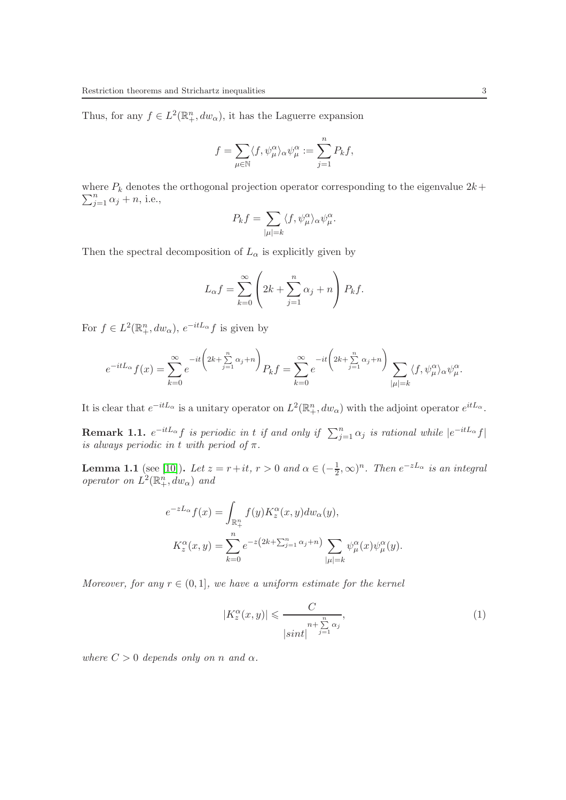Thus, for any  $f \in L^2(\mathbb{R}^n_+, dw_\alpha)$ , it has the Laguerre expansion

$$
f = \sum_{\mu \in \mathbb{N}} \langle f, \psi_\mu^\alpha \rangle_\alpha \psi_\mu^\alpha := \sum_{j=1}^n P_k f,
$$

where  $P_k$  denotes the orthogonal projection operator corresponding to the eigenvalue  $2k+$  $\sum_{j=1}^n \alpha_j + n$ , i.e.,

$$
P_k f = \sum_{|\mu|=k} \langle f, \psi_\mu^\alpha \rangle_\alpha \psi_\mu^\alpha.
$$

Then the spectral decomposition of  $L_{\alpha}$  is explicitly given by

$$
L_{\alpha}f = \sum_{k=0}^{\infty} \left( 2k + \sum_{j=1}^{n} \alpha_j + n \right) P_k f.
$$

For  $f \in L^2(\mathbb{R}^n_+, dw_\alpha)$ ,  $e^{-itL_\alpha} f$  is given by

$$
e^{-itL_{\alpha}}f(x) = \sum_{k=0}^{\infty} e^{-it\left(2k + \sum_{j=1}^{n} \alpha_j + n\right)} P_k f = \sum_{k=0}^{\infty} e^{-it\left(2k + \sum_{j=1}^{n} \alpha_j + n\right)} \sum_{|\mu|=k} \langle f, \psi_{\mu}^{\alpha} \rangle_{\alpha} \psi_{\mu}^{\alpha}.
$$

It is clear that  $e^{-itL_{\alpha}}$  is a unitary operator on  $L^2(\mathbb{R}^n_+, dw_{\alpha})$  with the adjoint operator  $e^{itL_{\alpha}}$ .

**Remark 1.1.**  $e^{-itL_{\alpha}}f$  is periodic in t if and only if  $\sum_{j=1}^{n} \alpha_j$  is rational while  $|e^{-itL_{\alpha}}f|$ is always periodic in t with period of  $\pi$ .

**Lemma 1.1** (see [\[10\]](#page-17-0)). Let  $z = r + it$ ,  $r > 0$  and  $\alpha \in (-\frac{1}{2})$  $(\frac{1}{2}, \infty)^n$ . Then  $e^{-zL_{\alpha}}$  is an integral operator on  $L^2(\mathbb{R}^n_+, dw_\alpha)$  and

$$
e^{-zL_{\alpha}}f(x) = \int_{\mathbb{R}_+^n} f(y)K_z^{\alpha}(x, y)dw_{\alpha}(y),
$$
  

$$
K_z^{\alpha}(x, y) = \sum_{k=0}^n e^{-z(2k + \sum_{j=1}^n \alpha_j + n)} \sum_{|\mu|=k} \psi_{\mu}^{\alpha}(x)\psi_{\mu}^{\alpha}(y).
$$

Moreover, for any  $r \in (0,1]$ , we have a uniform estimate for the kernel

<span id="page-2-0"></span>
$$
|K_z^{\alpha}(x,y)| \leqslant \frac{C}{\left|\sin t\right|^{\frac{n}{j=1}\alpha_j}},\tag{1}
$$

where  $C > 0$  depends only on n and  $\alpha$ .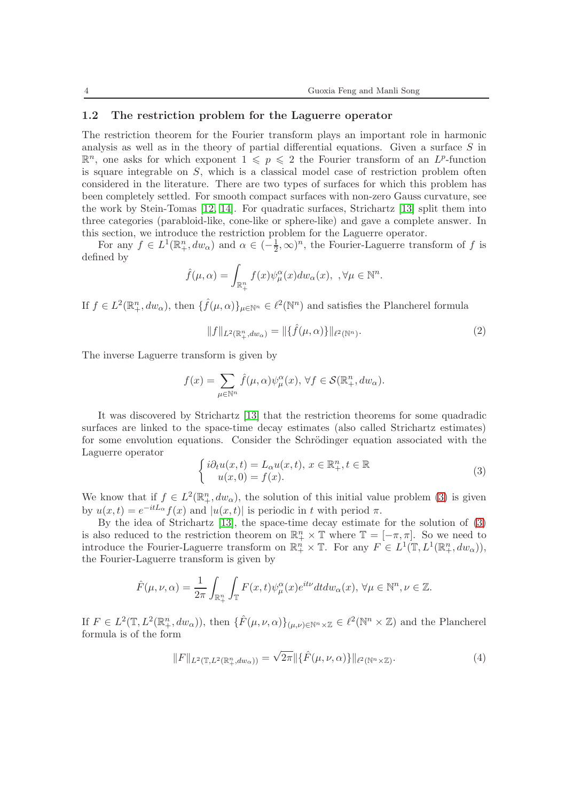#### 1.2 The restriction problem for the Laguerre operator

The restriction theorem for the Fourier transform plays an important role in harmonic analysis as well as in the theory of partial differential equations. Given a surface  $S$  in  $\mathbb{R}^n$ , one asks for which exponent  $1 \leqslant p \leqslant 2$  the Fourier transform of an  $L^p$ -function is square integrable on  $S$ , which is a classical model case of restriction problem often considered in the literature. There are two types of surfaces for which this problem has been completely settled. For smooth compact surfaces with non-zero Gauss curvature, see the work by Stein-Tomas [\[12,](#page-17-1) [14\]](#page-17-2). For quadratic surfaces, Strichartz [\[13\]](#page-17-3) split them into three categories (parabloid-like, cone-like or sphere-like) and gave a complete answer. In this section, we introduce the restriction problem for the Laguerre operator.

For any  $f \in L^1(\mathbb{R}^n_+, dw_\alpha)$  and  $\alpha \in (-\frac{1}{2})$  $(\frac{1}{2}, \infty)^n$ , the Fourier-Laguerre transform of f is defined by

$$
\hat{f}(\mu,\alpha) = \int_{\mathbb{R}^n_+} f(x) \psi_{\mu}^{\alpha}(x) dw_{\alpha}(x), \ \ \forall \mu \in \mathbb{N}^n.
$$

If  $f \in L^2(\mathbb{R}^n_+, dw_\alpha)$ , then  $\{\hat{f}(\mu, \alpha)\}_{\mu \in \mathbb{N}^n} \in \ell^2(\mathbb{N}^n)$  and satisfies the Plancherel formula

<span id="page-3-1"></span>
$$
||f||_{L^{2}(\mathbb{R}_{+}^{n}, dw_{\alpha})} = ||\{\hat{f}(\mu, \alpha)\}||_{\ell^{2}(\mathbb{N}^{n})}.
$$
\n(2)

The inverse Laguerre transform is given by

$$
f(x)=\sum_{\mu\in \mathbb{N}^n}\widehat{f}(\mu,\alpha)\psi_{\mu}^{\alpha}(x),\,\forall f\in\mathcal{S}(\mathbb{R}^n_+,dw_{\alpha}).
$$

It was discovered by Strichartz [\[13\]](#page-17-3) that the restriction theorems for some quadradic surfaces are linked to the space-time decay estimates (also called Strichartz estimates) for some envolution equations. Consider the Schrödinger equation associated with the Laguerre operator

<span id="page-3-0"></span>
$$
\begin{cases}\ni\partial_t u(x,t) = L_\alpha u(x,t), \ x \in \mathbb{R}^n_+, t \in \mathbb{R} \\
u(x,0) = f(x).\n\end{cases} \tag{3}
$$

We know that if  $f \in L^2(\mathbb{R}^n_+, dw_\alpha)$ , the solution of this initial value problem [\(3\)](#page-3-0) is given by  $u(x,t) = e^{-itL_{\alpha}} f(x)$  and  $|u(x,t)|$  is periodic in t with period  $\pi$ .

By the idea of Strichartz [\[13\]](#page-17-3), the space-time decay estimate for the solution of [\(3\)](#page-3-0) is also reduced to the restriction theorem on  $\mathbb{R}^n_+ \times \mathbb{T}$  where  $\mathbb{T} = [-\pi, \pi]$ . So we need to introduce the Fourier-Laguerre transform on  $\mathbb{R}^n_+ \times \mathbb{T}$ . For any  $F \in L^1(\mathbb{T}, L^1(\mathbb{R}^n_+, dw_\alpha)),$ the Fourier-Laguerre transform is given by

$$
\hat{F}(\mu,\nu,\alpha) = \frac{1}{2\pi} \int_{\mathbb{R}^n_+} \int_{\mathbb{T}} F(x,t) \psi_{\mu}^{\alpha}(x) e^{it\nu} dt dw_{\alpha}(x), \,\forall \mu \in \mathbb{N}^n, \nu \in \mathbb{Z}.
$$

If  $F \in L^2(\mathbb{T}, L^2(\mathbb{R}^n_+, dw_\alpha)),$  then  $\{\hat{F}(\mu, \nu, \alpha)\}_{(\mu, \nu)\in \mathbb{N}^n \times \mathbb{Z}} \in \ell^2(\mathbb{N}^n \times \mathbb{Z})$  and the Plancherel formula is of the form

<span id="page-3-2"></span>
$$
||F||_{L^2(\mathbb{T}, L^2(\mathbb{R}^n_+, dw_\alpha))} = \sqrt{2\pi} ||\{\hat{F}(\mu, \nu, \alpha)\}||_{\ell^2(\mathbb{N}^n \times \mathbb{Z})}. \tag{4}
$$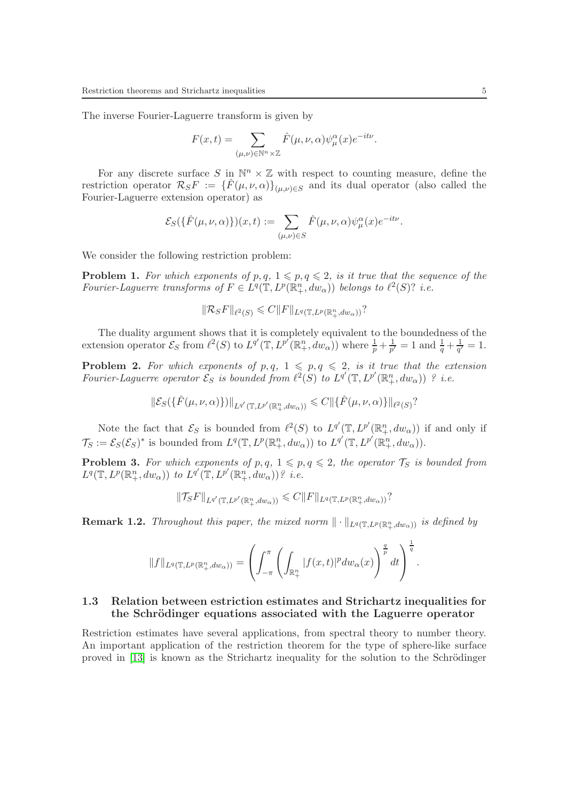The inverse Fourier-Laguerre transform is given by

$$
F(x,t) = \sum_{(\mu,\nu) \in \mathbb{N}^n \times \mathbb{Z}} \hat{F}(\mu,\nu,\alpha) \psi_{\mu}^{\alpha}(x) e^{-it\nu}.
$$

For any discrete surface  $S$  in  $\mathbb{N}^n \times \mathbb{Z}$  with respect to counting measure, define the restriction operator  $\mathcal{R}_S F := \{\hat{F}(\mu,\nu,\alpha)\}_{(\mu,\nu)\in S}$  and its dual operator (also called the Fourier-Laguerre extension operator) as

$$
\mathcal{E}_S(\{\hat{F}(\mu,\nu,\alpha)\})(x,t) := \sum_{(\mu,\nu) \in S} \hat{F}(\mu,\nu,\alpha) \psi_\mu^\alpha(x) e^{-it\nu}.
$$

We consider the following restriction problem:

**Problem 1.** For which exponents of p, q,  $1 \leq p, q \leq 2$ , is it true that the sequence of the Fourier-Laguerre transforms of  $F \in L^q(\mathbb{T}, L^p(\mathbb{R}^n_+, dw_\alpha))$  belongs to  $\ell^2(S)$ ? i.e.

$$
\|\mathcal{R}_S F\|_{\ell^2(S)} \leq C \|F\|_{L^q(\mathbb{T}, L^p(\mathbb{R}^n_+, dw_\alpha))}?
$$

The duality argument shows that it is completely equivalent to the boundedness of the extension operator  $\mathcal{E}_S$  from  $\ell^2(S)$  to  $L^{q'}(\mathbb{T}, L^{p'}(\mathbb{R}^n_+, dw_\alpha))$  where  $\frac{1}{p} + \frac{1}{p'} = 1$  and  $\frac{1}{q} + \frac{1}{q'} = 1$ .

**Problem 2.** For which exponents of p,q,  $1 \leq p, q \leq 2$ , is it true that the extension Fourier-Laguerre operator  $\mathcal{E}_S$  is bounded from  $\ell^2(S)$  to  $L^{q'}(\mathbb{T}, L^{p'}(\mathbb{R}^n_+, dw_\alpha))$  ? i.e.

$$
\|\mathcal{E}_S(\{\hat{F}(\mu,\nu,\alpha)\})\|_{L^{q'}(\mathbb{T},L^{p'}(\mathbb{R}_+^n,dw_\alpha))} \leq C \|\{\hat{F}(\mu,\nu,\alpha)\}\|_{\ell^2(S)}?
$$

Note the fact that  $\mathcal{E}_S$  is bounded from  $\ell^2(S)$  to  $L^{q'}(\mathbb{T}, L^{p'}(\mathbb{R}^n_+, dw_\alpha))$  if and only if  $\mathcal{T}_S := \mathcal{E}_S(\mathcal{E}_S)^*$  is bounded from  $L^q(\mathbb{T}, L^p(\mathbb{R}^n_+, dw_\alpha))$  to  $L^{q'}(\mathbb{T}, L^{p'}(\mathbb{R}^n_+, dw_\alpha)).$ 

**Problem 3.** For which exponents of p, q,  $1 \leq p, q \leq 2$ , the operator  $\mathcal{T}_S$  is bounded from  $L^q(\mathbb{T}, L^p(\mathbb{R}^n_+, dw_\alpha))$  to  $L^{q'}(\mathbb{T}, L^{p'}(\mathbb{R}^n_+, dw_\alpha))$ ? i.e.

$$
\|\mathcal{T}_{S}F\|_{L^{q'}(\mathbb{T},L^{p'}(\mathbb{R}_{+}^{n},dw_{\alpha}))} \leq C\|F\|_{L^{q}(\mathbb{T},L^{p}(\mathbb{R}_{+}^{n},dw_{\alpha}))}?
$$

**Remark 1.2.** Throughout this paper, the mixed norm  $\|\cdot\|_{L^q(\mathbb{T}, L^p(\mathbb{R}^n_+, dw_\alpha))}$  is defined by

$$
||f||_{L^q(\mathbb{T},L^p(\mathbb{R}^n_+,dw_\alpha))} = \left(\int_{-\pi}^{\pi} \left(\int_{\mathbb{R}^n_+} |f(x,t)|^p dw_\alpha(x)\right)^{\frac{q}{p}} dt\right)^{\frac{1}{q}}.
$$

### <span id="page-4-0"></span>1.3 Relation between estriction estimates and Strichartz inequalities for the Schrödinger equations associated with the Laguerre operator

Restriction estimates have several applications, from spectral theory to number theory. An important application of the restriction theorem for the type of sphere-like surface proved in  $[13]$  is known as the Strichartz inequality for the solution to the Schrödinger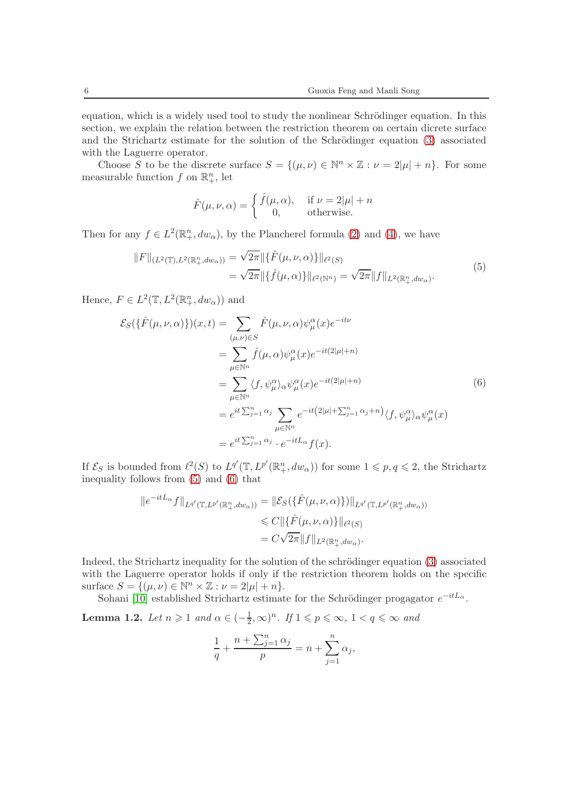equation, which is a widely used tool to study the nonlinear Schrödinger equation. In this section, we explain the relation between the restriction theorem on certain dicrete surface and the Strichartz estimate for the solution of the Schrödinger equation  $(3)$  associated with the Laguerre operator.

Choose S to be the discrete surface  $S = \{(\mu, \nu) \in \mathbb{N}^n \times \mathbb{Z} : \nu = 2|\mu| + n\}$ . For some measurable function  $f$  on  $\mathbb{R}^n_+$ , let

$$
\hat{F}(\mu, \nu, \alpha) = \begin{cases} \hat{f}(\mu, \alpha), & \text{if } \nu = 2|\mu| + n \\ 0, & \text{otherwise.} \end{cases}
$$

Then for any  $f \in L^2(\mathbb{R}^n_+, dw_\alpha)$ , by the Plancherel formula [\(2\)](#page-3-1) and [\(4\)](#page-3-2), we have

<span id="page-5-0"></span>
$$
||F||_{(L^{2}(\mathbb{T}), L^{2}(\mathbb{R}_{+}^{n}, dw_{\alpha}))} = \sqrt{2\pi} ||{\hat{F}(\mu, \nu, \alpha)}\}||_{\ell^{2}(S)}
$$
  

$$
= \sqrt{2\pi} ||{\hat{f}(\mu, \alpha)}\}||_{\ell^{2}(\mathbb{N}^{n})} = \sqrt{2\pi} ||f||_{L^{2}(\mathbb{R}_{+}^{n}, dw_{\alpha})}. \tag{5}
$$

Hence,  $F \in L^2(\mathbb{T}, L^2(\mathbb{R}^n_+, dw_\alpha))$  and

<span id="page-5-1"></span>
$$
\mathcal{E}_{S}(\{\hat{F}(\mu,\nu,\alpha)\})(x,t) = \sum_{(\mu,\nu)\in S} \hat{F}(\mu,\nu,\alpha)\psi_{\mu}^{\alpha}(x)e^{-it\nu}
$$
  
\n
$$
= \sum_{\mu\in\mathbb{N}^{n}} \hat{f}(\mu,\alpha)\psi_{\mu}^{\alpha}(x)e^{-it(2|\mu|+n)}
$$
  
\n
$$
= \sum_{\mu\in\mathbb{N}^{n}} \langle f,\psi_{\mu}^{\alpha}\rangle_{\alpha}\psi_{\mu}^{\alpha}(x)e^{-it(2|\mu|+n)}
$$
  
\n
$$
= e^{it\sum_{j=1}^{n}\alpha_{j}} \sum_{\mu\in\mathbb{N}^{n}} e^{-it(2|\mu|+\sum_{j=1}^{n}\alpha_{j}+n)} \langle f,\psi_{\mu}^{\alpha}\rangle_{\alpha}\psi_{\mu}^{\alpha}(x)
$$
  
\n
$$
= e^{it\sum_{j=1}^{n}\alpha_{j}} \cdot e^{-itL_{\alpha}}f(x).
$$
 (6)

If  $\mathcal{E}_S$  is bounded from  $\ell^2(S)$  to  $L^{q'}(\mathbb{T}, L^{p'}(\mathbb{R}^n_+, dw_\alpha))$  for some  $1 \leqslant p, q \leqslant 2$ , the Strichartz inequality follows from [\(5\)](#page-5-0) and [\(6\)](#page-5-1) that

$$
||e^{-itL_{\alpha}}f||_{L^{q'}(\mathbb{T},L^{p'}(\mathbb{R}_{+}^{n},dw_{\alpha}))} = ||\mathcal{E}_{S}(\{\hat{F}(\mu,\nu,\alpha)\})||_{L^{q'}(\mathbb{T},L^{p'}(\mathbb{R}_{+}^{n},dw_{\alpha}))}
$$
  

$$
\leq C||\{\hat{F}(\mu,\nu,\alpha)\}||_{\ell^{2}(S)}
$$
  

$$
= C\sqrt{2\pi}||f||_{L^{2}(\mathbb{R}_{+}^{n},dw_{\alpha})}.
$$

Indeed, the Strichartz inequality for the solution of the schrödinger equation [\(3\)](#page-3-0) associated with the Laguerre operator holds if only if the restriction theorem holds on the specific surface  $S = \{(\mu, \nu) \in \mathbb{N}^n \times \mathbb{Z} : \nu = 2|\mu| + n\}.$ 

Sohani [\[10\]](#page-17-0) established Strichartz estimate for the Schrödinger progagator  $e^{-itL_{\alpha}}$ .

<span id="page-5-2"></span>**Lemma 1.2.** Let  $n \geq 1$  and  $\alpha \in \left(-\frac{1}{2}\right)$  $(\frac{1}{2}, \infty)^n$ . If  $1 \leqslant p \leqslant \infty$ ,  $1 < q \leqslant \infty$  and

$$
\frac{1}{q} + \frac{n + \sum_{j=1}^{n} \alpha_j}{p} = n + \sum_{j=1}^{n} \alpha_j,
$$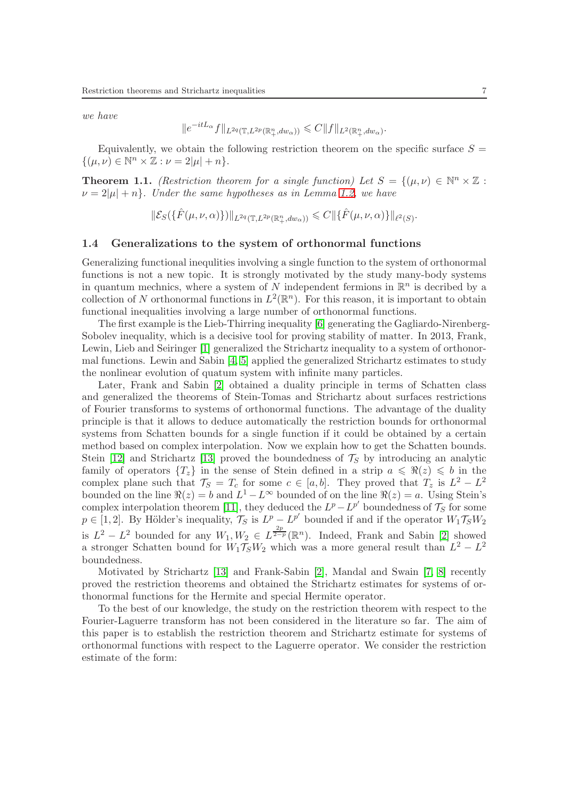we have

$$
||e^{-itL_{\alpha}}f||_{L^{2q}(\mathbb{T},L^{2p}(\mathbb{R}^n_+,dw_{\alpha}))} \leqslant C||f||_{L^{2}(\mathbb{R}^n_+,dw_{\alpha})}.
$$

Equivalently, we obtain the following restriction theorem on the specific surface  $S =$  $\{(\mu, \nu) \in \mathbb{N}^n \times \mathbb{Z} : \nu = 2|\mu| + n\}.$ 

<span id="page-6-0"></span>**Theorem 1.1.** (Restriction theorem for a single function) Let  $S = \{(\mu, \nu) \in \mathbb{N}^n \times \mathbb{Z} :$  $\nu = 2|\mu| + n$ . Under the same hypotheses as in Lemma [1.2,](#page-5-2) we have

$$
\|\mathcal{E}_S(\{\hat{F}(\mu,\nu,\alpha)\})\|_{L^{2q}(\mathbb{T},L^{2p}(\mathbb{R}_+^n,dw_\alpha))}\leqslant C\|\{\hat{F}(\mu,\nu,\alpha)\}\|_{\ell^2(S)}.
$$

#### 1.4 Generalizations to the system of orthonormal functions

Generalizing functional inequlities involving a single function to the system of orthonormal functions is not a new topic. It is strongly motivated by the study many-body systems in quantum mechnics, where a system of N independent fermions in  $\mathbb{R}^n$  is decribed by a collection of N orthonormal functions in  $L^2(\mathbb{R}^n)$ . For this reason, it is important to obtain functional inequalities involving a large number of orthonormal functions.

The first example is the Lieb-Thirring inequality [\[6\]](#page-16-0) generating the Gagliardo-Nirenberg-Sobolev inequality, which is a decisive tool for proving stability of matter. In 2013, Frank, Lewin, Lieb and Seiringer [\[1\]](#page-16-1) generalized the Strichartz inequality to a system of orthonormal functions. Lewin and Sabin [\[4,](#page-16-2) [5\]](#page-16-3) applied the generalized Strichartz estimates to study the nonlinear evolution of quatum system with infinite many particles.

Later, Frank and Sabin [\[2\]](#page-16-4) obtained a duality principle in terms of Schatten class and generalized the theorems of Stein-Tomas and Strichartz about surfaces restrictions of Fourier transforms to systems of orthonormal functions. The advantage of the duality principle is that it allows to deduce automatically the restriction bounds for orthonormal systems from Schatten bounds for a single function if it could be obtained by a certain method based on complex interpolation. Now we explain how to get the Schatten bounds. Stein [\[12\]](#page-17-1) and Strichartz [\[13\]](#page-17-3) proved the boundedness of  $\mathcal{T}_S$  by introducing an analytic family of operators  ${T<sub>z</sub>}$  in the sense of Stein defined in a strip  $a \leq \Re(z) \leq b$  in the complex plane such that  $\mathcal{T}_S = T_c$  for some  $c \in [a, b]$ . They proved that  $T_z$  is  $L^2 - L^2$ bounded on the line  $\Re(z) = b$  and  $L^1 - L^{\infty}$  bounded of on the line  $\Re(z) = a$ . Using Stein's complex interpolation theorem [\[11\]](#page-17-4), they deduced the  $L^p - L^{p'}$  boundedness of  $\mathcal{T}_S$  for some  $p \in [1,2]$ . By Hölder's inequality,  $\widetilde{\mathcal{T}}_S$  is  $L^p - L^{p'}$  bounded if and if the operator  $W_1 \mathcal{T}_S W_2$ is  $L^2 - L^2$  bounded for any  $W_1, W_2 \in L^{\frac{2p}{2-p}}(\mathbb{R}^n)$ . Indeed, Frank and Sabin [\[2\]](#page-16-4) showed a stronger Schatten bound for  $W_1 \mathcal{T}_S W_2$  which was a more general result than  $L^2 - L^2$ boundedness.

Motivated by Strichartz [\[13\]](#page-17-3) and Frank-Sabin [\[2\]](#page-16-4), Mandal and Swain [\[7,](#page-16-5) [8\]](#page-17-5) recently proved the restriction theorems and obtained the Strichartz estimates for systems of orthonormal functions for the Hermite and special Hermite operator.

To the best of our knowledge, the study on the restriction theorem with respect to the Fourier-Laguerre transform has not been considered in the literature so far. The aim of this paper is to establish the restriction theorem and Strichartz estimate for systems of orthonormal functions with respect to the Laguerre operator. We consider the restriction estimate of the form: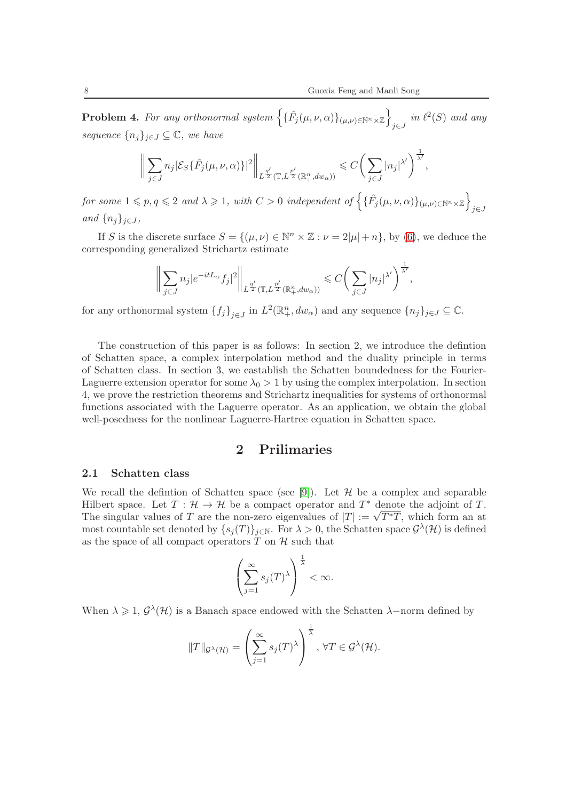**Problem 4.** For any orthonormal system  $\left\{\{\hat{F}_j(\mu,\nu,\alpha)\}_{(\mu,\nu)\in\mathbb{N}^n\times\mathbb{Z}}\right\}$  $_{j\in J}$  in  $\ell^2(S)$  and any sequence  ${n_j}_{j \in J} \subseteq \mathbb{C}$ , we have

$$
\bigg\|\sum_{j\in J}n_j\big|\mathcal{E}_S\{\hat{F}_j(\mu,\nu,\alpha)\}\big|^2\bigg\|_{L^{\frac{q'}{2}}(\mathbb{T},L^{\frac{p'}{2}}(\mathbb{R}_+^n, dw_\alpha))}\leqslant C\bigg(\sum_{j\in J}|n_j|^{\lambda'}\bigg)^{\frac{1}{\lambda'}},
$$

 $for~some~1\leqslant p,q\leqslant 2\,~and~\lambda\geqslant 1,\;with~C>0\,~independent~of\left\{\{\hat{F}_j(\mu,\nu,\alpha)\}_{(\mu,\nu)\in\mathbb{N}^n\times\mathbb{Z}}\right\}$ j∈J and  $\{n_i\}_{i\in J}$ ,

If S is the discrete surface  $S = \{(\mu, \nu) \in \mathbb{N}^n \times \mathbb{Z} : \nu = 2|\mu| + n\}$ , by [\(6\)](#page-5-1), we deduce the corresponding generalized Strichartz estimate

$$
\bigg\|\sum_{j\in J}n_j|e^{-itL_\alpha}f_j|^2\bigg\|_{L^{\frac{q'}{2}}(\mathbb{T},L^{\frac{p'}{2}}(\mathbb{R}_+^n,dw_\alpha))}\leqslant C\bigg(\sum_{j\in J}|n_j|^{\lambda'}\bigg)^{\frac{1}{\lambda'}},
$$

for any orthonormal system  $\{f_j\}_{j\in J}$  in  $L^2(\mathbb{R}^n_+, dw_\alpha)$  and any sequence  $\{n_j\}_{j\in J}\subseteq \mathbb{C}$ .

The construction of this paper is as follows: In section 2, we introduce the defintion of Schatten space, a complex interpolation method and the duality principle in terms of Schatten class. In section 3, we eastablish the Schatten boundedness for the Fourier-Laguerre extension operator for some  $\lambda_0 > 1$  by using the complex interpolation. In section 4, we prove the restriction theorems and Strichartz inequalities for systems of orthonormal functions associated with the Laguerre operator. As an application, we obtain the global well-posedness for the nonlinear Laguerre-Hartree equation in Schatten space.

## 2 Prilimaries

#### 2.1 Schatten class

We recall the defintion of Schatten space (see [\[9\]](#page-17-6)). Let  $\mathcal H$  be a complex and separable Hilbert space. Let  $T : \mathcal{H} \to \mathcal{H}$  be a compact operator and  $T^*$  denote the adjoint of  $T$ . The singular values of T are the non-zero eigenvalues of  $|T| := \sqrt{T^*T}$ , which form an at most countable set denoted by  $\{s_j(T)\}_{j\in\mathbb{N}}$ . For  $\lambda > 0$ , the Schatten space  $\mathcal{G}^{\lambda}(\mathcal{H})$  is defined as the space of all compact operators  $T$  on  $H$  such that

$$
\left(\sum_{j=1}^{\infty} s_j(T)^{\lambda}\right)^{\frac{1}{\lambda}} < \infty.
$$

When  $\lambda \geq 1$ ,  $\mathcal{G}^{\lambda}(\mathcal{H})$  is a Banach space endowed with the Schatten  $\lambda$ -norm defined by

$$
||T||_{\mathcal{G}^{\lambda}(\mathcal{H})} = \left(\sum_{j=1}^{\infty} s_j(T)^{\lambda}\right)^{\frac{1}{\lambda}}, \forall T \in \mathcal{G}^{\lambda}(\mathcal{H}).
$$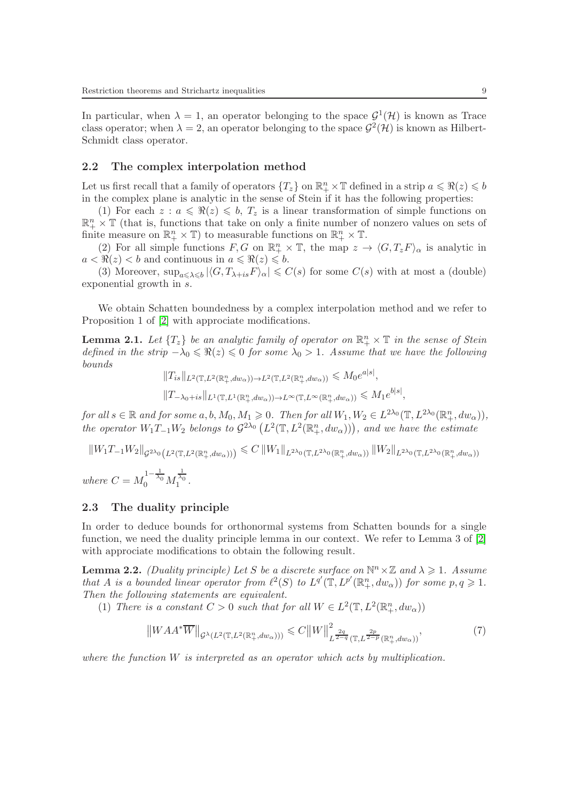In particular, when  $\lambda = 1$ , an operator belonging to the space  $\mathcal{G}^1(\mathcal{H})$  is known as Trace class operator; when  $\lambda = 2$ , an operator belonging to the space  $\mathcal{G}^2(\mathcal{H})$  is known as Hilbert-Schmidt class operator.

#### 2.2 The complex interpolation method

Let us first recall that a family of operators  ${T_z}$  on  $\mathbb{R}^n_+ \times \mathbb{T}$  defined in a strip  $a \leq \Re(z) \leq b$ in the complex plane is analytic in the sense of Stein if it has the following properties:

(1) For each  $z : a \leq \Re(z) \leq b$ ,  $T_z$  is a linear transformation of simple functions on  $\mathbb{R}^n_+ \times \mathbb{T}$  (that is, functions that take on only a finite number of nonzero values on sets of finite measure on  $\mathbb{R}^n_+ \times \mathbb{T}$ ) to measurable functions on  $\mathbb{R}^n_+ \times \mathbb{T}$ .

(2) For all simple functions  $F, G$  on  $\mathbb{R}^n_+ \times \mathbb{T}$ , the map  $z \to \langle G, T_z F \rangle_\alpha$  is analytic in  $a < \Re(z) < b$  and continuous in  $a \leq \Re(z) \leq b$ .

(3) Moreover,  $\sup_{a\leq \lambda\leq b} |\langle G, T_{\lambda+i}sF\rangle_{\alpha}| \leq C(s)$  for some  $C(s)$  with at most a (double) exponential growth in s.

We obtain Schatten boundedness by a complex interpolation method and we refer to Proposition 1 of [\[2\]](#page-16-4) with approciate modifications.

<span id="page-8-0"></span>**Lemma 2.1.** Let  $\{T_z\}$  be an analytic family of operator on  $\mathbb{R}^n_+ \times \mathbb{T}$  in the sense of Stein defined in the strip  $-\lambda_0 \leq \Re(z) \leq 0$  for some  $\lambda_0 > 1$ . Assume that we have the following bounds

$$
||T_{is}||_{L^2(\mathbb{T}, L^2(\mathbb{R}^n_+, dw_\alpha)) \to L^2(\mathbb{T}, L^2(\mathbb{R}^n_+, dw_\alpha)) \leq M_0 e^{a|s|},
$$
  

$$
||T_{-\lambda_0 + is}||_{L^1(\mathbb{T}, L^1(\mathbb{R}^n_+, dw_\alpha)) \to L^\infty(\mathbb{T}, L^\infty(\mathbb{R}^n_+, dw_\alpha)) \leq M_1 e^{b|s|},
$$

for all  $s \in \mathbb{R}$  and for some  $a, b, M_0, M_1 \geqslant 0$ . Then for all  $W_1, W_2 \in L^{2\lambda_0}(\mathbb{T}, L^{2\lambda_0}(\mathbb{R}^n_+, dw_\alpha)),$ the operator  $W_1T_{-1}W_2$  belongs to  $\mathcal{G}^{2\lambda_0}(\mathbb{L}^2(\mathbb{T}, L^2(\mathbb{R}^n_+, dw_\alpha)))$ , and we have the estimate

$$
||W_1T_{-1}W_2||_{\mathcal{G}^{2\lambda_0}(L^2(\mathbb{T}, L^2(\mathbb{R}^n_+, dw_\alpha)))} \leq C ||W_1||_{L^{2\lambda_0}(\mathbb{T}, L^{2\lambda_0}(\mathbb{R}^n_+, dw_\alpha))} ||W_2||_{L^{2\lambda_0}(\mathbb{T}, L^{2\lambda_0}(\mathbb{R}^n_+, dw_\alpha))}
$$
  
where  $C = M_0^{1-\frac{1}{\lambda_0}} M_1^{\frac{1}{\lambda_0}}$ .

#### 2.3 The duality principle

In order to deduce bounds for orthonormal systems from Schatten bounds for a single function, we need the duality principle lemma in our context. We refer to Lemma 3 of [\[2\]](#page-16-4) with approciate modifications to obtain the following result.

<span id="page-8-1"></span>**Lemma 2.2.** (Duality principle) Let S be a discrete surface on  $\mathbb{N}^n \times \mathbb{Z}$  and  $\lambda \geq 1$ . Assume that A is a bounded linear operator from  $\ell^2(S)$  to  $L^{q'}(\mathbb{T}, L^{p'}(\mathbb{R}^n_+, dw_\alpha))$  for some  $p, q \geq 1$ . Then the following statements are equivalent.

(1) There is a constant  $C > 0$  such that for all  $W \in L^2(\mathbb{T}, L^2(\mathbb{R}^n_+, dw_\alpha))$ 

<span id="page-8-2"></span>
$$
\left\|WAA^*\overline{W}\right\|_{\mathcal{G}^\lambda(L^2(\mathbb{T}, L^2(\mathbb{R}_+^n, dw_\alpha)))} \leqslant C\left\|W\right\|_{L^{\frac{2q}{2-q}}(\mathbb{T}, L^{\frac{2p}{2-p}}(\mathbb{R}_+^n, dw_\alpha))}^2,
$$
\n<sup>(7)</sup>

where the function  $W$  is interpreted as an operator which acts by multiplication.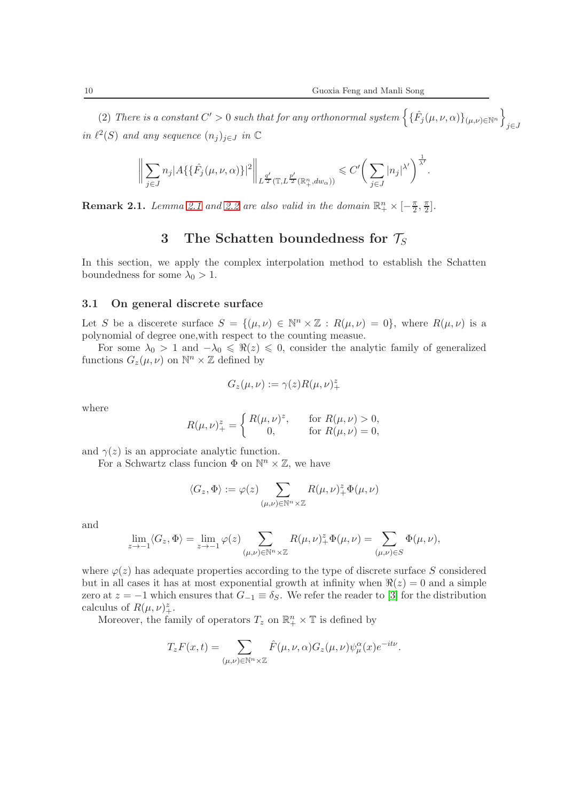(2) There is a constant  $C' > 0$  such that for any orthonormal system  $\left\{ \{\hat{F}_j(\mu, \nu, \alpha)\}_{(\mu, \nu) \in \mathbb{N}^n} \right\}$ j∈J in  $\ell^2(S)$  and any sequence  $(n_j)_{j\in J}$  in  $\mathbb C$ 

$$
\bigg\|\sum_{j\in J}n_j|A\{\{\hat{F_j}(\mu,\nu,\alpha)\}|^2\bigg\|_{L^{\frac{q'}{2}}(\mathbb{T},L^{\frac{p'}{2}}(\mathbb{R}_+^n,dw_\alpha))}\leqslant C'\bigg(\sum_{j\in J}|n_j|^{\lambda'}\bigg)^{\frac{1}{\lambda'}}.
$$

**Remark [2.1](#page-8-0).** Lemma 2.1 and [2.2](#page-8-1) are also valid in the domain  $\mathbb{R}^n_+ \times [-\frac{\pi}{2}]$  $\frac{\pi}{2}, \frac{\pi}{2}$  $\frac{\pi}{2}$ .

## 3 The Schatten boundedness for  $\mathcal{T}_S$

In this section, we apply the complex interpolation method to establish the Schatten boundedness for some  $\lambda_0 > 1$ .

#### 3.1 On general discrete surface

Let S be a discerete surface  $S = \{(\mu, \nu) \in \mathbb{N}^n \times \mathbb{Z} : R(\mu, \nu) = 0\}$ , where  $R(\mu, \nu)$  is a polynomial of degree one,with respect to the counting measue.

For some  $\lambda_0 > 1$  and  $-\lambda_0 \leq \Re(z) \leq 0$ , consider the analytic family of generalized functions  $G_z(\mu, \nu)$  on  $\mathbb{N}^n \times \mathbb{Z}$  defined by

$$
G_z(\mu,\nu):=\gamma(z)R(\mu,\nu)_+^z
$$

where

$$
R(\mu, \nu)^{z}_{+} = \begin{cases} R(\mu, \nu)^{z}, & \text{for } R(\mu, \nu) > 0, \\ 0, & \text{for } R(\mu, \nu) = 0, \end{cases}
$$

and  $\gamma(z)$  is an approciate analytic function.

For a Schwartz class funcion  $\Phi$  on  $\mathbb{N}^n \times \mathbb{Z}$ , we have

$$
\langle G_z, \Phi \rangle := \varphi(z) \sum_{(\mu,\nu) \in \mathbb{N}^n \times \mathbb{Z}} R(\mu, \nu)_+^z \Phi(\mu, \nu)
$$

and

$$
\lim_{z \to -1} \langle G_z, \Phi \rangle = \lim_{z \to -1} \varphi(z) \sum_{(\mu, \nu) \in \mathbb{N}^n \times \mathbb{Z}} R(\mu, \nu)_+^z \Phi(\mu, \nu) = \sum_{(\mu, \nu) \in S} \Phi(\mu, \nu),
$$

where  $\varphi(z)$  has adequate properties according to the type of discrete surface S considered but in all cases it has at most exponential growth at infinity when  $\Re(z) = 0$  and a simple zero at  $z = -1$  which ensures that  $G_{-1} \equiv \delta_S$ . We refer the reader to [\[3\]](#page-16-6) for the distribution calculus of  $R(\mu, \nu)_+^z$ .

Moreover, the family of operators  $T_z$  on  $\mathbb{R}^n_+ \times \mathbb{T}$  is defined by

$$
T_z F(x,t) = \sum_{(\mu,\nu) \in \mathbb{N}^n \times \mathbb{Z}} \hat{F}(\mu,\nu,\alpha) G_z(\mu,\nu) \psi_{\mu}^{\alpha}(x) e^{-it\nu}.
$$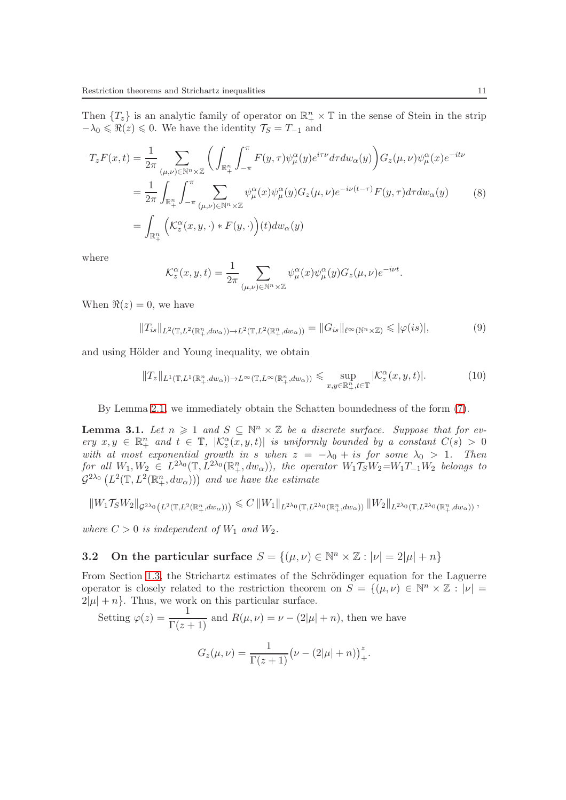Then  ${T_z}$  is an analytic family of operator on  $\mathbb{R}^n_+ \times \mathbb{T}$  in the sense of Stein in the strip  $-\lambda_0 \leq \Re(z) \leq 0$ . We have the identity  $\mathcal{T}_S = T_{-1}$  and

$$
T_z F(x,t) = \frac{1}{2\pi} \sum_{(\mu,\nu) \in \mathbb{N}^n \times \mathbb{Z}} \left( \int_{\mathbb{R}_+^n} \int_{-\pi}^{\pi} F(y,\tau) \psi_{\mu}^{\alpha}(y) e^{i\tau \nu} d\tau dw_{\alpha}(y) \right) G_z(\mu,\nu) \psi_{\mu}^{\alpha}(x) e^{-it\nu}
$$
  
\n
$$
= \frac{1}{2\pi} \int_{\mathbb{R}_+^n} \int_{-\pi}^{\pi} \sum_{(\mu,\nu) \in \mathbb{N}^n \times \mathbb{Z}} \psi_{\mu}^{\alpha}(x) \psi_{\mu}^{\alpha}(y) G_z(\mu,\nu) e^{-i\nu(t-\tau)} F(y,\tau) d\tau dw_{\alpha}(y)
$$
  
\n
$$
= \int_{\mathbb{R}_+^n} \left( K_z^{\alpha}(x,y,\cdot) * F(y,\cdot) \right) (t) dw_{\alpha}(y)
$$
 (8)

where

$$
\mathcal{K}_{z}^{\alpha}(x, y, t) = \frac{1}{2\pi} \sum_{(\mu, \nu) \in \mathbb{N}^{n} \times \mathbb{Z}} \psi_{\mu}^{\alpha}(x) \psi_{\mu}^{\alpha}(y) G_{z}(\mu, \nu) e^{-i\nu t}.
$$

When  $\Re(z) = 0$ , we have

<span id="page-10-0"></span>
$$
||T_{is}||_{L^2(\mathbb{T}, L^2(\mathbb{R}^n_+, dw_\alpha)) \to L^2(\mathbb{T}, L^2(\mathbb{R}^n_+, dw_\alpha))} = ||G_{is}||_{\ell^\infty(\mathbb{N}^n \times \mathbb{Z})} \leqslant |\varphi(is)|,
$$
\n(9)

and using Hölder and Young inequality, we obtain

<span id="page-10-1"></span>
$$
||T_z||_{L^1(\mathbb{T}, L^1(\mathbb{R}^n_+, dw_\alpha))\to L^\infty(\mathbb{T}, L^\infty(\mathbb{R}^n_+, dw_\alpha))} \leq \sup_{x, y \in \mathbb{R}^n_+, t \in \mathbb{T}} |\mathcal{K}^\alpha_z(x, y, t)|. \tag{10}
$$

By Lemma [2.1,](#page-8-0) we immediately obtain the Schatten boundedness of the form [\(7\)](#page-8-2).

<span id="page-10-2"></span>**Lemma 3.1.** Let  $n \geq 1$  and  $S \subseteq \mathbb{N}^n \times \mathbb{Z}$  be a discrete surface. Suppose that for every  $x, y \in \mathbb{R}^n_+$  and  $t \in \mathbb{T}$ ,  $|\mathcal{K}^{\alpha}_z(x, y, t)|$  is uniformly bounded by a constant  $C(s) > 0$ with at most exponential growth in s when  $z = -\lambda_0 + is$  for some  $\lambda_0 > 1$ . Then  $for \ all \ W_1, W_2 \in L^{2\lambda_0}(\mathbb{T}, L^{2\lambda_0}(\mathbb{R}_+^n, dw_\alpha)), \ the \ operator \ W_1\mathcal{T}_S W_2 = W_1T_{-1}W_2 \ belongs \ to$  $\mathcal{G}^{2\lambda_0} \left( L^2(\mathbb{T}, L^2(\mathbb{R}^n_+, dw_\alpha)) \right)$  and we have the estimate

$$
||W_1 \mathcal{T}_S W_2||_{\mathcal{G}^{2\lambda_0}(L^2(\mathbb{T}, L^2(\mathbb{R}_+^n, dw_\alpha)))} \leq C ||W_1||_{L^{2\lambda_0}(\mathbb{T}, L^{2\lambda_0}(\mathbb{R}_+^n, dw_\alpha))} ||W_2||_{L^{2\lambda_0}(\mathbb{T}, L^{2\lambda_0}(\mathbb{R}_+^n, dw_\alpha))},
$$

where  $C > 0$  is independent of  $W_1$  and  $W_2$ .

# **3.2** On the particular surface  $S = \{(\mu, \nu) \in \mathbb{N}^n \times \mathbb{Z} : |\nu| = 2|\mu| + n\}$

From Section [1.3,](#page-4-0) the Strichartz estimates of the Schrödinger equation for the Laguerre operator is closely related to the restriction theorem on  $S = \{(\mu, \nu) \in \mathbb{N}^n \times \mathbb{Z} : |\nu| =$  $2|\mu| + n$ . Thus, we work on this particular surface.

Setting 
$$
\varphi(z) = \frac{1}{\Gamma(z+1)}
$$
 and  $R(\mu, \nu) = \nu - (2|\mu| + n)$ , then we have  

$$
G_z(\mu, \nu) = \frac{1}{\Gamma(z+1)} (\nu - (2|\mu| + n))_+^z.
$$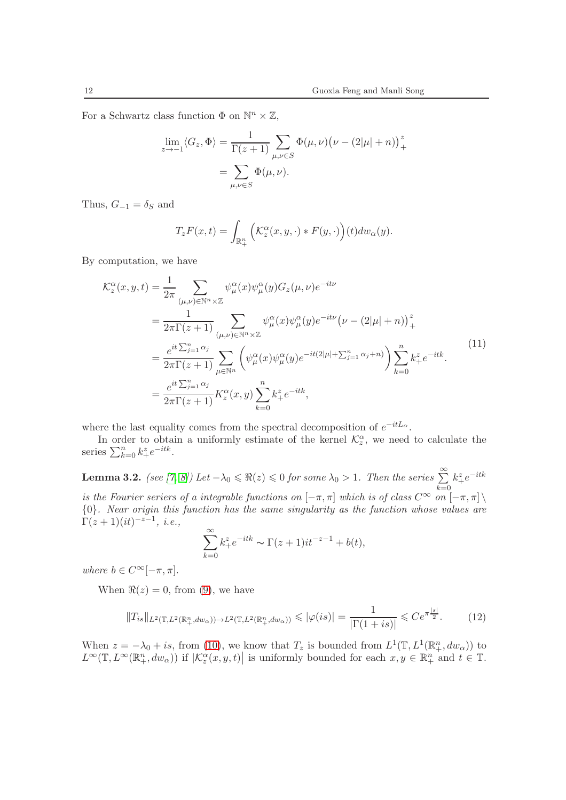For a Schwartz class function  $\Phi$  on  $\mathbb{N}^n \times \mathbb{Z}$ ,

$$
\lim_{z \to -1} \langle G_z, \Phi \rangle = \frac{1}{\Gamma(z+1)} \sum_{\mu, \nu \in S} \Phi(\mu, \nu) (\nu - (2|\mu| + n))_+^z
$$

$$
= \sum_{\mu, \nu \in S} \Phi(\mu, \nu).
$$

Thus,  $G_{-1} = \delta_S$  and

$$
T_zF(x,t) = \int_{\mathbb{R}^n_+} \left( \mathcal{K}^\alpha_z(x,y,\cdot) * F(y,\cdot) \right)(t) d w_\alpha(y).
$$

By computation, we have

<span id="page-11-0"></span>
$$
\mathcal{K}_{z}^{\alpha}(x,y,t) = \frac{1}{2\pi} \sum_{(\mu,\nu)\in\mathbb{N}^{n}\times\mathbb{Z}} \psi_{\mu}^{\alpha}(x)\psi_{\mu}^{\alpha}(y)G_{z}(\mu,\nu)e^{-it\nu}
$$
\n
$$
= \frac{1}{2\pi\Gamma(z+1)} \sum_{(\mu,\nu)\in\mathbb{N}^{n}\times\mathbb{Z}} \psi_{\mu}^{\alpha}(x)\psi_{\mu}^{\alpha}(y)e^{-it\nu}\left(\nu - (2|\mu|+n)\right)_{+}^{z}
$$
\n
$$
= \frac{e^{it\sum_{j=1}^{n}\alpha_{j}}}{2\pi\Gamma(z+1)} \sum_{\mu\in\mathbb{N}^{n}} \left(\psi_{\mu}^{\alpha}(x)\psi_{\mu}^{\alpha}(y)e^{-it(2|\mu|+\sum_{j=1}^{n}\alpha_{j}+n)}\right) \sum_{k=0}^{n} k_{+}^{z}e^{-itk}.
$$
\n
$$
= \frac{e^{it\sum_{j=1}^{n}\alpha_{j}}}{2\pi\Gamma(z+1)} K_{z}^{\alpha}(x,y) \sum_{k=0}^{n} k_{+}^{z}e^{-itk}, \qquad (11)
$$

where the last equality comes from the spectral decomposition of  $e^{-itL_{\alpha}}$ .

In order to obtain a uniformly estimate of the kernel  $\mathcal{K}_z^{\alpha}$ , we need to calculate the series  $\sum_{k=0}^{n} k_{+}^{z} e^{-itk}$ .

<span id="page-11-1"></span>**Lemma 3.2.** (see [\[7,](#page-16-5) [8\]](#page-17-5)) Let  $-\lambda_0 \leq \Re(z) \leq 0$  for some  $\lambda_0 > 1$ . Then the series  $\sum_{k=0}^{\infty}$  $k_+^z e^{-itk}$ is the Fourier seriers of a integrable functions on  $[-\pi, \pi]$  which is of class  $C^{\infty}$  on  $[-\pi, \pi]\setminus$ {0}. Near origin this function has the same singularity as the function whose values are  $\Gamma(z+1)(it)^{-z-1}, i.e.,$ 

$$
\sum_{k=0}^{\infty} k_+^z e^{-itk} \sim \Gamma(z+1)it^{-z-1} + b(t),
$$

where  $b \in C^{\infty}[-\pi, \pi]$ .

When  $\Re(z) = 0$ , from [\(9\)](#page-10-0), we have

<span id="page-11-2"></span>
$$
||T_{is}||_{L^2(\mathbb{T}, L^2(\mathbb{R}^n_+, dw_\alpha)) \to L^2(\mathbb{T}, L^2(\mathbb{R}^n_+, dw_\alpha))} \leqslant |\varphi(is)| = \frac{1}{|\Gamma(1+is)|} \leqslant Ce^{\pi \frac{|s|}{2}}.
$$
 (12)

When  $z = -\lambda_0 + is$ , from [\(10\)](#page-10-1), we know that  $T_z$  is bounded from  $L^1(\mathbb{T}, L^1(\mathbb{R}^n_+, dw_\alpha))$  to  $L^{\infty}(\mathbb{T}, L^{\infty}(\mathbb{R}^n_+, dw_\alpha))$  if  $|\mathcal{K}_z^{\alpha}(x, y, t)|$  is uniformly bounded for each  $x, y \in \mathbb{R}^n_+$  and  $t \in \mathbb{T}$ .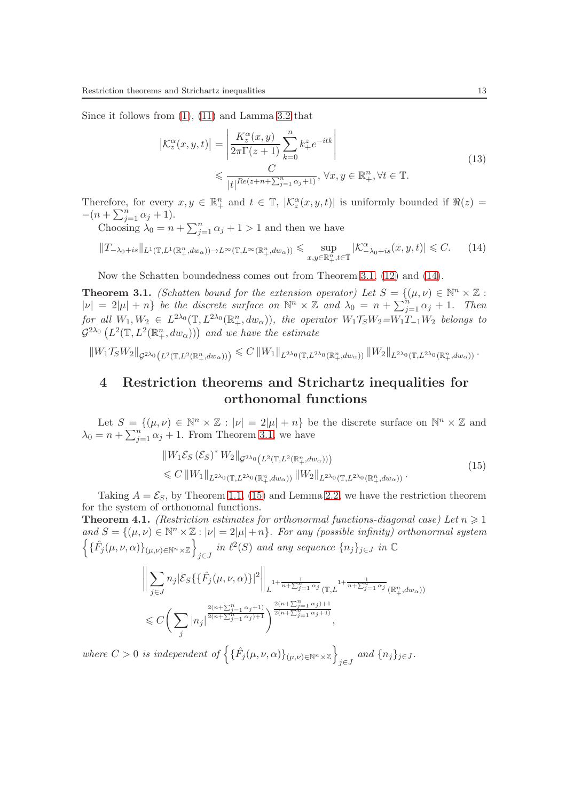Since it follows from [\(1\)](#page-2-0), [\(11\)](#page-11-0) and Lamma [3.2](#page-11-1) that

<span id="page-12-3"></span>
$$
\left| \mathcal{K}_z^{\alpha}(x, y, t) \right| = \left| \frac{K_z^{\alpha}(x, y)}{2\pi \Gamma(z+1)} \sum_{k=0}^n k_+^z e^{-itk} \right|
$$
  

$$
\leq \frac{C}{|t|^{Re(z+n+\sum_{j=1}^n \alpha_j + 1)}}, \forall x, y \in \mathbb{R}_+^n, \forall t \in \mathbb{T}.
$$
 (13)

Therefore, for every  $x, y \in \mathbb{R}^n_+$  and  $t \in \mathbb{T}$ ,  $|\mathcal{K}_z^{\alpha}(x, y, t)|$  is uniformly bounded if  $\Re(z) =$  $-(n + \sum_{j=1}^{n} \alpha_j + 1).$ 

Choosing  $\lambda_0 = n + \sum_{j=1}^n \alpha_j + 1 > 1$  and then we have

<span id="page-12-0"></span>
$$
||T_{-\lambda_0+is}||_{L^1(\mathbb{T},L^1(\mathbb{R}^n_+,dw_\alpha))\to L^\infty(\mathbb{T},L^\infty(\mathbb{R}^n_+,dw_\alpha))} \leq \sup_{x,y\in\mathbb{R}^n_+,t\in\mathbb{T}}|\mathcal{K}^\alpha_{-\lambda_0+is}(x,y,t)| \leq C. \tag{14}
$$

Now the Schatten boundedness comes out from Theorem [3.1,](#page-10-2) [\(12\)](#page-11-2) and [\(14\)](#page-12-0).

<span id="page-12-1"></span>**Theorem 3.1.** (Schatten bound for the extension operator) Let  $S = \{(\mu, \nu) \in \mathbb{N}^n \times \mathbb{Z} :$  $|\nu| = 2|\mu| + n$  be the discrete surface on  $\mathbb{N}^n \times \mathbb{Z}$  and  $\lambda_0 = n + \sum_{j=1}^n \alpha_j + 1$ . Then  $for \ all \ W_1, W_2 \in L^{2\lambda_0}(\mathbb{T}, L^{2\lambda_0}(\mathbb{R}_+^n, dw_\alpha)), \ the \ operator \ W_1\mathcal{T}_S W_2 = W_1\mathcal{T}_{-1}W_2 \ belongs \ to$  $\mathcal{G}^{2\lambda_0} \left( L^2(\mathbb{T}, L^2(\mathbb{R}^n_+, dw_\alpha)) \right)$  and we have the estimate

 $\|W_{1}\mathcal{T}_{S}W_{2}\|_{\mathcal{G}^{2\lambda_{0}}(L^{2}(\mathbb{T},L^{2}(\mathbb{R}_{+}^{n},dw_{\alpha})))} \leqslant C\left\|W_{1}\right\|_{L^{2\lambda_{0}}(\mathbb{T},L^{2\lambda_{0}}(\mathbb{R}_{+}^{n},dw_{\alpha}))}\left\|W_{2}\right\|_{L^{2\lambda_{0}}(\mathbb{T},L^{2\lambda_{0}}(\mathbb{R}_{+}^{n},dw_{\alpha}))}.$ 

## 4 Restriction theorems and Strichartz inequalities for orthonomal functions

Let  $S = \{(\mu, \nu) \in \mathbb{N}^n \times \mathbb{Z} : |\nu| = 2|\mu| + n\}$  be the discrete surface on  $\mathbb{N}^n \times \mathbb{Z}$  and  $\lambda_0 = n + \sum_{j=1}^n \alpha_j + 1$ . From Theorem [3.1,](#page-12-1) we have

<span id="page-12-2"></span>
$$
\|W_1 \mathcal{E}_S \left(\mathcal{E}_S\right)^* W_2\|_{\mathcal{G}^{2\lambda_0}\left(L^2(\mathbb{T}, L^2(\mathbb{R}^n_+, dw_\alpha))\right)}\leq C \|W_1\|_{L^{2\lambda_0}(\mathbb{T}, L^{2\lambda_0}(\mathbb{R}^n_+, dw_\alpha))} \|W_2\|_{L^{2\lambda_0}(\mathbb{T}, L^{2\lambda_0}(\mathbb{R}^n_+, dw_\alpha))}.
$$
\n(15)

Taking  $A = \mathcal{E}_S$ , by Theorem [1.1,](#page-6-0) [\(15\)](#page-12-2) and Lemma [2.2,](#page-8-1) we have the restriction theorem for the system of orthonomal functions.

**Theorem 4.1.** (Restriction estimates for orthonormal functions-diagonal case) Let  $n \geq 1$ and  $S = \{(\mu, \nu) \in \mathbb{N}^n \times \mathbb{Z} : |\nu| = 2|\mu| + n\}$ . For any (possible infinity) orthonormal system  $\left\{\{\hat{F}_j(\mu,\nu,\alpha)\}_{(\mu,\nu)\in\mathbb{N}^n\times\mathbb{Z}}\right\}$  $j \in J$  in  $\ell^2(S)$  and any sequence  $\{n_j\}_{j \in J}$  in  $\mathbb C$ 

$$
\left\| \sum_{j \in J} n_j |\mathcal{E}_S \{ \{\hat{F}_j(\mu, \nu, \alpha)\}|^2 \right\|_{L^{1+\frac{1}{n+\sum_{j=1}^n \alpha_j}}(\mathbb{T}, L)^{1+\frac{1}{n+\sum_{j=1}^n \alpha_j}}(\mathbb{R}^n_+, dw_\alpha))}
$$
  
\$\leq C \left( \sum\_j |n\_j|^{\frac{2(n+\sum\_{j=1}^n \alpha\_j+1)}{2(n+\sum\_{j=1}^n \alpha\_j)+1}} \right)^{\frac{2(n+\sum\_{j=1}^n \alpha\_j)}{2(n+\sum\_{j=1}^n \alpha\_j+1)}},

where  $C > 0$  is independent of  $\left\{ \{\hat{F}_j(\mu, \nu, \alpha)\}_{(\mu, \nu) \in \mathbb{N}^n \times \mathbb{Z}} \right\}$  $\int \int$  and  $\{n_j\}_{j\in J}$ .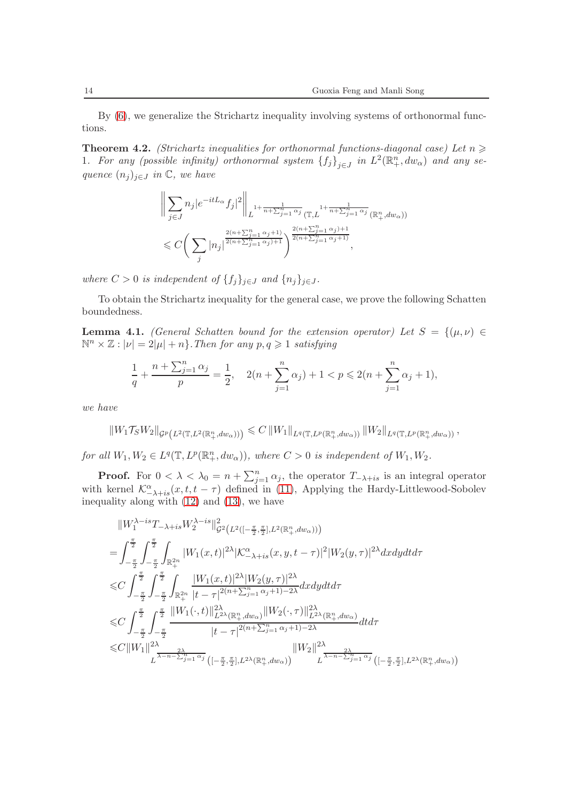By [\(6\)](#page-5-1), we generalize the Strichartz inequality involving systems of orthonormal functions.

<span id="page-13-1"></span>**Theorem 4.2.** (Strichartz inequalities for orthonormal functions-diagonal case) Let  $n \geq$ 1. For any (possible infinity) orthonormal system  ${f_j}_{j\in J}$  in  $L^2(\mathbb{R}^n_+,dw_\alpha)$  and any sequence  $(n_j)_{j\in J}$  in  $\mathbb{C}$ , we have

$$
\left\| \sum_{j \in J} n_j |e^{-itL_{\alpha}} f_j|^2 \right\|_{L^{1+\frac{1}{n+\sum_{j=1}^n \alpha_j}}(\mathbb{T}, L^{\frac{1}{n+\sum_{j=1}^n \alpha_j}}(\mathbb{R}^n_+, dw_\alpha))}
$$
  

$$
\leq C \bigg( \sum_j |n_j|^{\frac{2(n+\sum_{j=1}^n \alpha_j+1)}{2(n+\sum_{j=1}^n \alpha_j)+1}} \bigg)^{\frac{2(n+\sum_{j=1}^n \alpha_j)}{2(n+\sum_{j=1}^n \alpha_j+1)}},
$$

where  $C > 0$  is independent of  $\{f_i\}_{i \in J}$  and  $\{n_i\}_{i \in J}$ .

To obtain the Strichartz inequality for the general case, we prove the following Schatten boundedness.

<span id="page-13-0"></span>**Lemma 4.1.** (General Schatten bound for the extension operator) Let  $S = \{(\mu, \nu) \in$  $\mathbb{N}^n \times \mathbb{Z} : |\nu| = 2|\mu| + n$ . Then for any  $p, q \geq 1$  satisfying

$$
\frac{1}{q} + \frac{n + \sum_{j=1}^{n} \alpha_j}{p} = \frac{1}{2}, \quad 2(n + \sum_{j=1}^{n} \alpha_j) + 1 < p \leq 2(n + \sum_{j=1}^{n} \alpha_j + 1),
$$

we have

$$
||W_1 \mathcal{T}_S W_2||_{\mathcal{G}^p(L^2(\mathbb{T}, L^2(\mathbb{R}_+^n, dw_\alpha)))} \leq C ||W_1||_{L^q(\mathbb{T}, L^p(\mathbb{R}_+^n, dw_\alpha))} ||W_2||_{L^q(\mathbb{T}, L^p(\mathbb{R}_+^n, dw_\alpha))},
$$

for all  $W_1, W_2 \in L^q(\mathbb{T}, L^p(\mathbb{R}^n_+, dw_\alpha)),$  where  $C > 0$  is independent of  $W_1, W_2$ .

**Proof.** For  $0 < \lambda < \lambda_0 = n + \sum_{j=1}^n \alpha_j$ , the operator  $T_{-\lambda+is}$  is an integral operator with kernel  $\mathcal{K}^{\alpha}_{-\lambda+is}(x,t,t-\tau)$  defined in [\(11\)](#page-11-0), Applying the Hardy-Littlewood-Sobolev inequality along with [\(12\)](#page-11-2) and [\(13\)](#page-12-3), we have

$$
||W_{1}^{\lambda-is}T_{-\lambda+is}W_{2}^{\lambda-is}||_{\mathcal{G}^{2}(L^{2}([-\frac{\pi}{2},\frac{\pi}{2}],L^{2}(\mathbb{R}_{+}^{n},dw_{\alpha})))
$$
\n
$$
=\int_{-\frac{\pi}{2}}^{\frac{\pi}{2}}\int_{-\frac{\pi}{2}}^{\frac{\pi}{2}}\int_{\mathbb{R}_{+}^{2n}}^{\frac{\pi}{2}}|W_{1}(x,t)|^{2\lambda}|K_{-\lambda+is}^{\alpha}(x,y,t-\tau)|^{2}|W_{2}(y,\tau)|^{2\lambda}dxdydt\tau
$$
\n
$$
\leq C\int_{-\frac{\pi}{2}}^{\frac{\pi}{2}}\int_{-\frac{\pi}{2}}^{\frac{\pi}{2}}\int_{\mathbb{R}_{+}^{2n}}^{\frac{\pi}{2}}\frac{|W_{1}(x,t)|^{2\lambda}|W_{2}(y,\tau)|^{2\lambda}}{|t-\tau|^{2(n+\sum_{j=1}^{n}\alpha_{j}+1)-2\lambda}dxdydt\tau
$$
\n
$$
\leq C\int_{-\frac{\pi}{2}}^{\frac{\pi}{2}}\int_{-\frac{\pi}{2}}^{\frac{\pi}{2}}\frac{||W_{1}(\cdot,t)||_{L^{2\lambda}(\mathbb{R}_{+}^{n},dw_{\alpha})}||W_{2}(\cdot,\tau)||_{L^{2\lambda}(\mathbb{R}_{+}^{n},dw_{\alpha})}^{2\lambda}dtd\tau
$$
\n
$$
\leq C||W_{1}||^{2\lambda} \sum_{L}\frac{2\lambda}{\lambda-n-\sum_{j=1}^{n}\alpha_{j}}\frac{||W_{2}||_{L^{2\lambda}(\mathbb{R}_{+}^{n},dw_{\alpha})}||W_{2}||^{2\lambda}}{|t-\tau|^{2(n+\sum_{j=1}^{n}\alpha_{j}+1)-2\lambda}dtd\tau}
$$
\n
$$
||W_{2}||^{2\lambda} \sum_{L}\frac{2\lambda}{\lambda-n-\sum_{j=1}^{n}\alpha_{j}}\frac{||W_{2}||_{L^{2\lambda}(\mathbb{R}_{+}^{n},dw_{\alpha})}||W_{2}||^{2\lambda} \sum_{L}\frac{2\lambda}{\lambda-n-\sum_{j=1}^{n}\alpha_{j}}\frac{(-\frac{\pi}{2},\frac{\pi}{2}],L^{2\lambda}(\mathbb{R}_{+}^{n},dw_{\alpha})}{|\alpha-\alpha|}
$$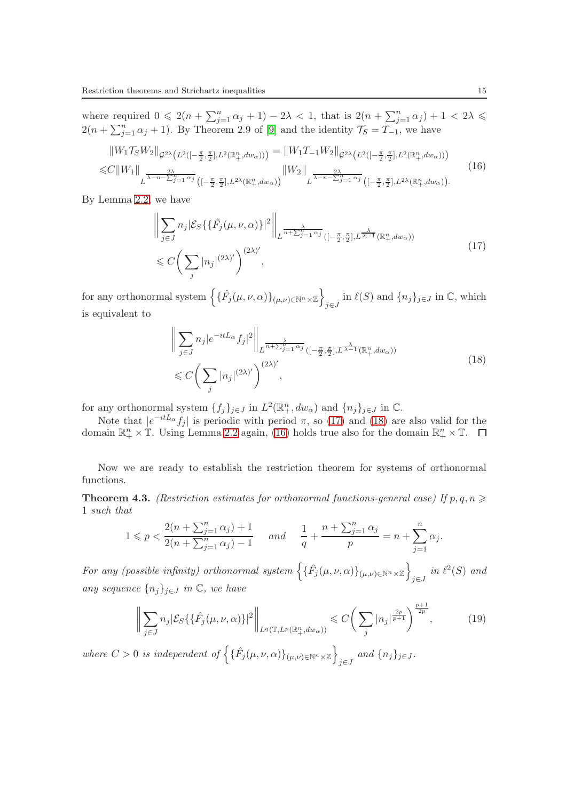where required  $0 \leq 2(n + \sum_{j=1}^n \alpha_j + 1) - 2\lambda < 1$ , that is  $2(n + \sum_{j=1}^n \alpha_j) + 1 < 2\lambda \leq$  $2(n + \sum_{j=1}^{n} \alpha_j + 1)$ . By Theorem 2.9 of [\[9\]](#page-17-6) and the identity  $\mathcal{T}_S = T_{-1}$ , we have

<span id="page-14-2"></span>
$$
||W_{1}\mathcal{T}_{S}W_{2}||_{\mathcal{G}^{2\lambda}(L^{2}([-\frac{\pi}{2},\frac{\pi}{2}],L^{2}(\mathbb{R}_{+}^{n},dw_{\alpha})))} = ||W_{1}T_{-1}W_{2}||_{\mathcal{G}^{2\lambda}(L^{2}([-\frac{\pi}{2},\frac{\pi}{2}],L^{2}(\mathbb{R}_{+}^{n},dw_{\alpha})))}
$$
  
\n
$$
\leq C||W_{1}||_{L^{\frac{2\lambda}{\lambda-n-\sum_{j=1}^{n}\alpha_{j}}}([-\frac{\pi}{2},\frac{\pi}{2}],L^{2\lambda}(\mathbb{R}_{+}^{n},dw_{\alpha}))}||W_{2}||_{L^{\frac{2\lambda}{\lambda-n-\sum_{j=1}^{n}\alpha_{j}}}([-\frac{\pi}{2},\frac{\pi}{2}],L^{2\lambda}(\mathbb{R}_{+}^{n},dw_{\alpha})).
$$
\n(16)

By Lemma [2.2,](#page-8-1) we have

<span id="page-14-0"></span>
$$
\left\| \sum_{j \in J} n_j \left| \mathcal{E}_S \{ \{\hat{F}_j(\mu, \nu, \alpha)\} \right|^2 \right\|_{L^{\frac{\lambda}{n + \sum_{j=1}^n \alpha_j}} \left( [-\frac{\pi}{2}, \frac{\pi}{2}], L^{\frac{\lambda}{\lambda - 1}}(\mathbb{R}_+^n, dw_\alpha) \right)}
$$
\n
$$
\leq C \bigg( \sum_j |n_j|^{(2\lambda)'} \bigg)^{(2\lambda)'} ,
$$
\n(17)

for any orthonormal system  $\left\{ \{\hat{F}_j(\mu,\nu,\alpha)\}_{(\mu,\nu)\in\mathbb{N}^n\times\mathbb{Z}}\right\}$  $\int_{j\in J}$  in  $\ell(S)$  and  $\{n_j\}_{j\in J}$  in  $\mathbb{C}$ , which is equivalent to

<span id="page-14-1"></span>
$$
\left\| \sum_{j \in J} n_j |e^{-itL_{\alpha}} f_j|^2 \right\|_{L^{\frac{\lambda}{n+\sum_{j=1}^n \alpha_j}} ([-\frac{\pi}{2}, \frac{\pi}{2}], L^{\frac{\lambda}{\lambda-1}}(\mathbb{R}_+^n, dw_\alpha))}
$$
\n
$$
\leq C \bigg( \sum_j |n_j|^{(2\lambda)'} \bigg)^{(2\lambda)'},
$$
\n(18)

for any orthonormal system  $\{f_j\}_{j\in J}$  in  $L^2(\mathbb{R}^n_+, dw_\alpha)$  and  $\{n_j\}_{j\in J}$  in  $\mathbb{C}$ .

Note that  $|e^{-itL_{\alpha}} f_j|$  is periodic with period  $\pi$ , so [\(17\)](#page-14-0) and [\(18\)](#page-14-1) are also valid for the domain  $\mathbb{R}^n_+ \times \mathbb{T}$ . Using Lemma [2.2](#page-8-1) again, [\(16\)](#page-14-2) holds true also for the domain  $\mathbb{R}^n_+ \times \mathbb{T}$ .

Now we are ready to establish the restriction theorem for systems of orthonormal functions.

<span id="page-14-3"></span>**Theorem 4.3.** (Restriction estimates for orthonormal functions-general case) If  $p, q, n \geq$ 1 such that

$$
1 \leqslant p < \frac{2(n + \sum_{j=1}^{n} \alpha_j) + 1}{2(n + \sum_{j=1}^{n} \alpha_j) - 1} \quad \text{and} \quad \frac{1}{q} + \frac{n + \sum_{j=1}^{n} \alpha_j}{p} = n + \sum_{j=1}^{n} \alpha_j.
$$

For any (possible infinity) orthonormal system  $\left\{\{\hat{F}_j(\mu,\nu,\alpha)\}_{(\mu,\nu)\in\mathbb{N}^n\times\mathbb{Z}}\right\}$  $_{j\in J}$  in  $\ell^2(S)$  and any sequence  $\{n_j\}_{j\in J}$  in  $\mathbb{C}$ , we have

<span id="page-14-4"></span>
$$
\left\| \sum_{j \in J} n_j |\mathcal{E}_S \{ \{\hat{F}_j(\mu, \nu, \alpha)\}|^2 \right\|_{L^q(\mathbb{T}, L^p(\mathbb{R}^n_+, dw_\alpha))} \leq C \bigg( \sum_j |n_j|^{\frac{2p}{p+1}} \bigg)^{\frac{p+1}{2p}}, \tag{19}
$$

where  $C > 0$  is independent of  $\left\{ \{\hat{F}_j(\mu, \nu, \alpha)\}_{(\mu, \nu) \in \mathbb{N}^n \times \mathbb{Z}} \right\}$  $\int \int$  and  $\{n_j\}_{j\in J}$ .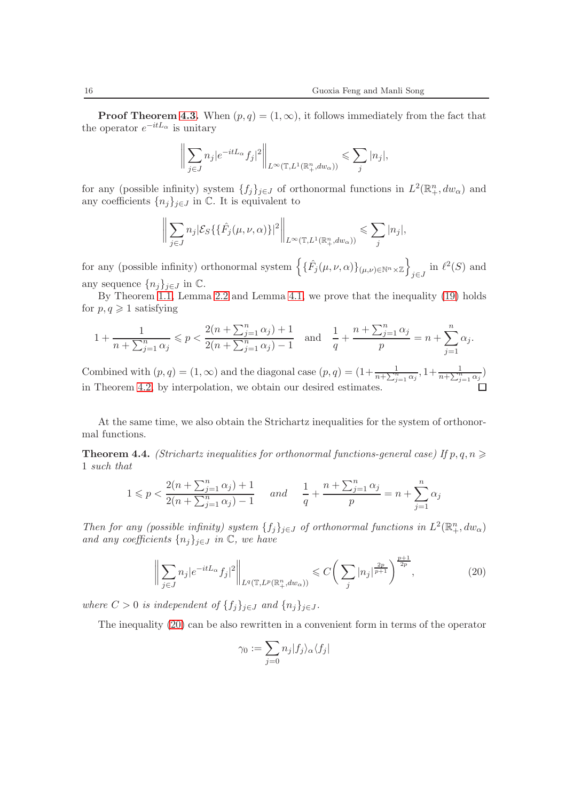**Proof Theorem [4.3.](#page-14-3)** When  $(p, q) = (1, \infty)$ , it follows immediately from the fact that the operator  $e^{-itL_{\alpha}}$  is unitary

$$
\bigg\|\sum_{j\in J} n_j|e^{-itL_{\alpha}}f_j|^2\bigg\|_{L^{\infty}(\mathbb{T},L^1(\mathbb{R}^n_+,dw_{\alpha}))} \leqslant \sum_j|n_j|,
$$

for any (possible infinity) system  $\{f_j\}_{j\in J}$  of orthonormal functions in  $L^2(\mathbb{R}^n_+, dw_\alpha)$  and any coefficients  $\{n_j\}_{j\in J}$  in  $\mathbb C$ . It is equivalent to

$$
\bigg\|\sum_{j\in J}n_j\big|\mathcal{E}_S\{\{\hat{F}_j(\mu,\nu,\alpha)\}\big|^2\bigg\|_{L^\infty(\mathbb{T},L^1(\mathbb{R}^n_+,dw_\alpha))}\leqslant \sum_j|n_j|,
$$

for any (possible infinity) orthonormal system  $\left\{\{\hat{F}_j(\mu,\nu,\alpha)\}_{(\mu,\nu)\in\mathbb{N}^n\times\mathbb{Z}}\right\}$  $j\in J$  in  $\ell^2(S)$  and any sequence  $\{n_j\}_{j\in J}$  in  $\mathbb{C}$ .

By Theorem [1.1,](#page-6-0) Lemma [2.2](#page-8-1) and Lemma [4.1,](#page-13-0) we prove that the inequality [\(19\)](#page-14-4) holds for  $p, q \geqslant 1$  satisfying

$$
1 + \frac{1}{n + \sum_{j=1}^{n} \alpha_j} \leqslant p < \frac{2(n + \sum_{j=1}^{n} \alpha_j) + 1}{2(n + \sum_{j=1}^{n} \alpha_j) - 1} \quad \text{and} \quad \frac{1}{q} + \frac{n + \sum_{j=1}^{n} \alpha_j}{p} = n + \sum_{j=1}^{n} \alpha_j.
$$

Combined with  $(p, q) = (1, \infty)$  and the diagonal case  $(p, q) = (1 + \frac{1}{n + \sum_{j=1}^{n} \alpha_j}, 1 + \frac{1}{n + \sum_{j=1}^{n} \alpha_j})$ in Theorem [4.2,](#page-13-1) by interpolation, we obtain our desired estimates.

At the same time, we also obtain the Strichartz inequalities for the system of orthonormal functions.

<span id="page-15-1"></span>**Theorem 4.4.** (Strichartz inequalities for orthonormal functions-general case) If p, q, n  $\geq$ 1 such that

$$
1 \leqslant p < \frac{2(n + \sum_{j=1}^{n} \alpha_j) + 1}{2(n + \sum_{j=1}^{n} \alpha_j) - 1} \quad \text{and} \quad \frac{1}{q} + \frac{n + \sum_{j=1}^{n} \alpha_j}{p} = n + \sum_{j=1}^{n} \alpha_j
$$

Then for any (possible infinity) system  $\{f_j\}_{j\in J}$  of orthonormal functions in  $L^2(\mathbb{R}^n_+, dw_\alpha)$ and any coefficients  $\{n_j\}_{j\in J}$  in  $\mathbb{C}$ , we have

<span id="page-15-0"></span>
$$
\left\| \sum_{j \in J} n_j |e^{-itL_{\alpha}} f_j|^2 \right\|_{L^q(\mathbb{T}, L^p(\mathbb{R}^n_+, dw_\alpha))} \leqslant C \bigg( \sum_j |n_j|^{\frac{2p}{p+1}} \bigg)^{\frac{p+1}{2p}}, \tag{20}
$$

where  $C > 0$  is independent of  $\{f_j\}_{j \in J}$  and  $\{n_j\}_{j \in J}$ .

The inequality [\(20\)](#page-15-0) can be also rewritten in a convenient form in terms of the operator

$$
\gamma_0 := \sum_{j=0} n_j |f_j\rangle_\alpha \langle f_j|
$$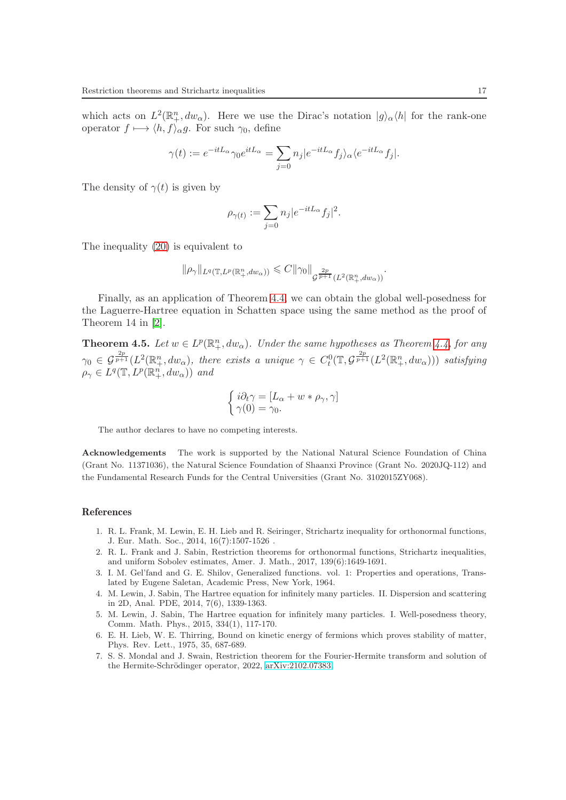which acts on  $L^2(\mathbb{R}^n_+, dw_\alpha)$ . Here we use the Dirac's notation  $|g\rangle_\alpha\langle h|$  for the rank-one operator  $f \mapsto \langle h, f \rangle_{\alpha} g$ . For such  $\gamma_0$ , define

$$
\gamma(t) := e^{-itL_{\alpha}} \gamma_0 e^{itL_{\alpha}} = \sum_{j=0} n_j |e^{-itL_{\alpha}} f_j \rangle_{\alpha} \langle e^{-itL_{\alpha}} f_j |.
$$

The density of  $\gamma(t)$  is given by

$$
\rho_{\gamma(t)}:=\sum_{j=0}n_j|e^{-itL_{\alpha}}f_j|^2.
$$

The inequality [\(20\)](#page-15-0) is equivalent to

$$
\|\rho_\gamma\|_{L^q(\mathbb{T},L^p(\mathbb{R}^n_+,dw_\alpha))} \leqslant C \|\gamma_0\|_{\mathcal{G}^{\frac{2p}{p+1}}(L^2(\mathbb{R}^n_+,dw_\alpha))}.
$$

Finally, as an application of Theorem [4.4,](#page-15-1) we can obtain the global well-posedness for the Laguerre-Hartree equation in Schatten space using the same method as the proof of Theorem 14 in [\[2\]](#page-16-4).

**Theorem 4.5.** Let  $w \in L^p(\mathbb{R}^n_+, dw_\alpha)$ . Under the same hypotheses as Theorem [4.4,](#page-15-1) for any  $\gamma_0 \in \mathcal{G}^{\frac{2p}{p+1}}(L^2(\mathbb{R}^n_+,dw_\alpha))$ , there exists a unique  $\gamma \in C^0_t(\mathbb{T},\mathcal{G}^{\frac{2p}{p+1}}(L^2(\mathbb{R}^n_+,dw_\alpha)))$  satisfying  $\rho_{\gamma} \in L^q(\mathbb{T}, L^p(\mathbb{R}^n_+, dw_{\alpha}))$  and

$$
\begin{cases}\ni\partial_t\gamma = [L_\alpha + w * \rho_\gamma, \gamma] \\
\gamma(0) = \gamma_0.\n\end{cases}
$$

The author declares to have no competing interests.

Acknowledgements The work is supported by the National Natural Science Foundation of China (Grant No. 11371036), the Natural Science Foundation of Shaanxi Province (Grant No. 2020JQ-112) and the Fundamental Research Funds for the Central Universities (Grant No. 3102015ZY068).

#### <span id="page-16-1"></span>References

- <span id="page-16-4"></span>1. R. L. Frank, M. Lewin, E. H. Lieb and R. Seiringer, Strichartz inequality for orthonormal functions, J. Eur. Math. Soc., 2014, 16(7):1507-1526 .
- <span id="page-16-6"></span>2. R. L. Frank and J. Sabin, Restriction theorems for orthonormal functions, Strichartz inequalities, and uniform Sobolev estimates, Amer. J. Math., 2017, 139(6):1649-1691.
- <span id="page-16-2"></span>3. I. M. Gel'fand and G. E. Shilov, Generalized functions. vol. 1: Properties and operations, Translated by Eugene Saletan, Academic Press, New York, 1964.
- <span id="page-16-3"></span>4. M. Lewin, J. Sabin, The Hartree equation for infinitely many particles. II. Dispersion and scattering in 2D, Anal. PDE, 2014, 7(6), 1339-1363.
- <span id="page-16-0"></span>5. M. Lewin, J. Sabin, The Hartree equation for infinitely many particles. I. Well-posedness theory, Comm. Math. Phys., 2015, 334(1), 117-170.
- <span id="page-16-5"></span>6. E. H. Lieb, W. E. Thirring, Bound on kinetic energy of fermions which proves stability of matter, Phys. Rev. Lett., 1975, 35, 687-689.
- 7. S. S. Mondal and J. Swain, Restriction theorem for the Fourier-Hermite transform and solution of the Hermite-Schrödinger operator, 2022, [arXiv:2102.07383.](http://arxiv.org/abs/2102.07383)